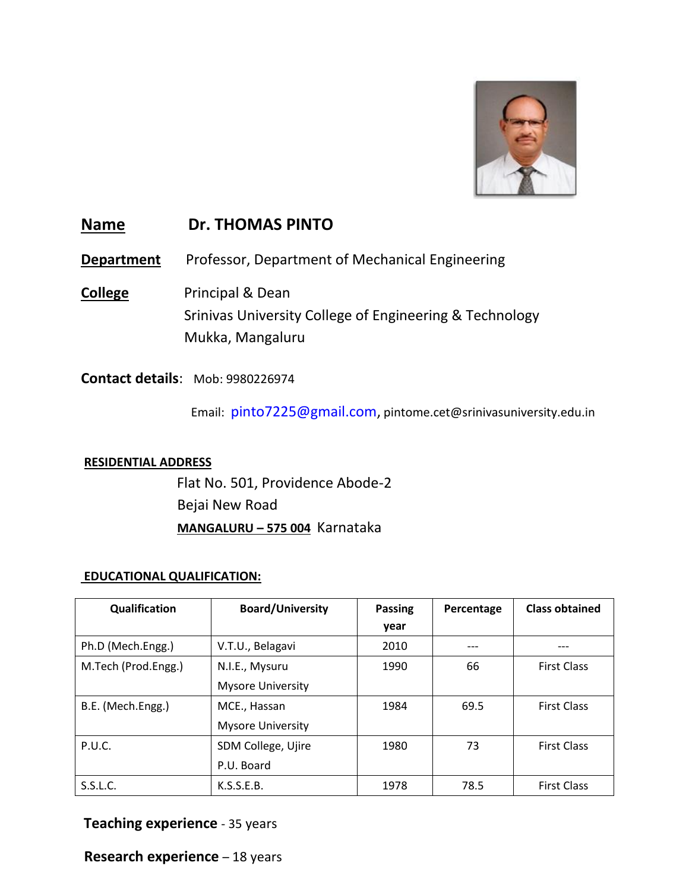

# **Name Dr. THOMAS PINTO**

**Department** Professor, Department of Mechanical Engineering

**College** Principal & Dean Srinivas University College of Engineering & Technology Mukka, Mangaluru

**Contact details**: Mob: 9980226974

Email: [pinto7225@gmail.com,](mailto:pinto7225@gmail.com) pintome.cet@srinivasuniversity.edu.in

#### **RESIDENTIAL ADDRESS**

 Flat No. 501, Providence Abode-2 Bejai New Road **MANGALURU – 575 004** Karnataka

### **EDUCATIONAL QUALIFICATION:**

| Qualification       | <b>Board/University</b>  | <b>Passing</b> | Percentage | <b>Class obtained</b> |
|---------------------|--------------------------|----------------|------------|-----------------------|
|                     |                          | year           |            |                       |
| Ph.D (Mech.Engg.)   | V.T.U., Belagavi         | 2010           |            |                       |
| M.Tech (Prod.Engg.) | N.I.E., Mysuru           | 1990           | 66         | <b>First Class</b>    |
|                     | <b>Mysore University</b> |                |            |                       |
| B.E. (Mech.Engg.)   | MCE., Hassan             | 1984           | 69.5       | <b>First Class</b>    |
|                     | <b>Mysore University</b> |                |            |                       |
| P.U.C.              | SDM College, Ujire       | 1980           | 73         | <b>First Class</b>    |
|                     | P.U. Board               |                |            |                       |
| S.S.L.C.            | K.S.S.E.B.               | 1978           | 78.5       | <b>First Class</b>    |

## **Teaching experience** - 35 years

**Research experience** – 18 years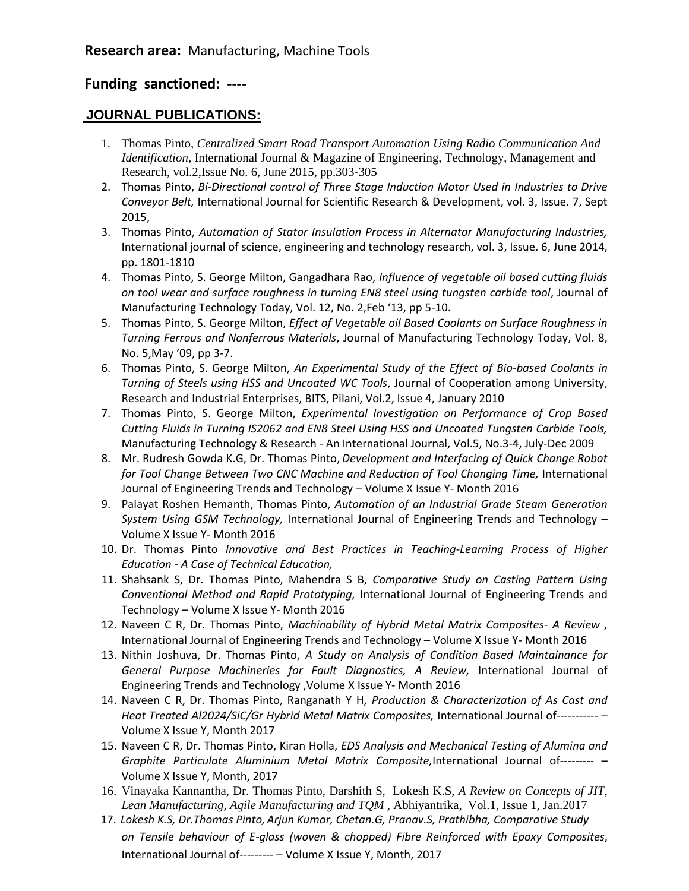## **Funding sanctioned: ----**

### **JOURNAL PUBLICATIONS:**

- 1. Thomas Pinto, *Centralized Smart Road Transport Automation Using Radio Communication And Identification,* International Journal & Magazine of Engineering, Technology, Management and Research, vol.2,Issue No. 6, June 2015, pp.303-305
- 2. Thomas Pinto, *Bi-Directional control of Three Stage Induction Motor Used in Industries to Drive Conveyor Belt,* International Journal for Scientific Research & Development, vol. 3, Issue. 7, Sept 2015,
- 3. Thomas Pinto, *Automation of Stator Insulation Process in Alternator Manufacturing Industries,*  International journal of science, engineering and technology research, vol. 3, Issue. 6, June 2014, pp. 1801-1810
- 4. Thomas Pinto, S. George Milton, Gangadhara Rao, *Influence of vegetable oil based cutting fluids on tool wear and surface roughness in turning EN8 steel using tungsten carbide tool*, Journal of Manufacturing Technology Today, Vol. 12, No. 2,Feb '13, pp 5-10.
- 5. Thomas Pinto, S. George Milton, *Effect of Vegetable oil Based Coolants on Surface Roughness in Turning Ferrous and Nonferrous Materials*, Journal of Manufacturing Technology Today, Vol. 8, No. 5,May '09, pp 3-7.
- 6. Thomas Pinto, S. George Milton, *An Experimental Study of the Effect of Bio-based Coolants in Turning of Steels using HSS and Uncoated WC Tools*, Journal of Cooperation among University, Research and Industrial Enterprises, BITS, Pilani, Vol.2, Issue 4, January 2010
- 7. Thomas Pinto, S. George Milton, *Experimental Investigation on Performance of Crop Based Cutting Fluids in Turning IS2062 and EN8 Steel Using HSS and Uncoated Tungsten Carbide Tools,*  Manufacturing Technology & Research - An International Journal, Vol.5, No.3-4, July-Dec 2009
- 8. Mr. Rudresh Gowda K.G, Dr. Thomas Pinto, *Development and Interfacing of Quick Change Robot for Tool Change Between Two CNC Machine and Reduction of Tool Changing Time,* International Journal of Engineering Trends and Technology – Volume X Issue Y- Month 2016
- 9. Palayat Roshen Hemanth, Thomas Pinto, *Automation of an Industrial Grade Steam Generation System Using GSM Technology,* International Journal of Engineering Trends and Technology – Volume X Issue Y- Month 2016
- 10. Dr. Thomas Pinto *Innovative and Best Practices in Teaching-Learning Process of Higher Education - A Case of Technical Education,*
- 11. Shahsank S, Dr. Thomas Pinto, Mahendra S B, *Comparative Study on Casting Pattern Using Conventional Method and Rapid Prototyping,* International Journal of Engineering Trends and Technology – Volume X Issue Y- Month 2016
- 12. Naveen C R, Dr. Thomas Pinto, *Machinability of Hybrid Metal Matrix Composites- A Review ,*  International Journal of Engineering Trends and Technology – Volume X Issue Y- Month 2016
- 13. Nithin Joshuva, Dr. Thomas Pinto, *A Study on Analysis of Condition Based Maintainance for General Purpose Machineries for Fault Diagnostics, A Review,* International Journal of Engineering Trends and Technology ,Volume X Issue Y- Month 2016
- 14. Naveen C R, Dr. Thomas Pinto, Ranganath Y H, *Production & Characterization of As Cast and Heat Treated Al2024/SiC/Gr Hybrid Metal Matrix Composites,* International Journal of----------- – Volume X Issue Y, Month 2017
- 15. Naveen C R, Dr. Thomas Pinto, Kiran Holla, *EDS Analysis and Mechanical Testing of Alumina and Graphite Particulate Aluminium Metal Matrix Composite,*International Journal of--------- – Volume X Issue Y, Month, 2017
- 16. Vinayaka Kannantha, Dr. Thomas Pinto, Darshith S, Lokesh K.S, *A Review on Concepts of JIT, Lean Manufacturing, Agile Manufacturing and TQM ,* Abhiyantrika, Vol.1, Issue 1, Jan.2017
- 17. *Lokesh K.S, Dr.Thomas Pinto, Arjun Kumar, Chetan.G, Pranav.S, Prathibha, Comparative Study on Tensile behaviour of E-glass (woven & chopped) Fibre Reinforced with Epoxy Composites*, International Journal of--------- – Volume X Issue Y, Month, 2017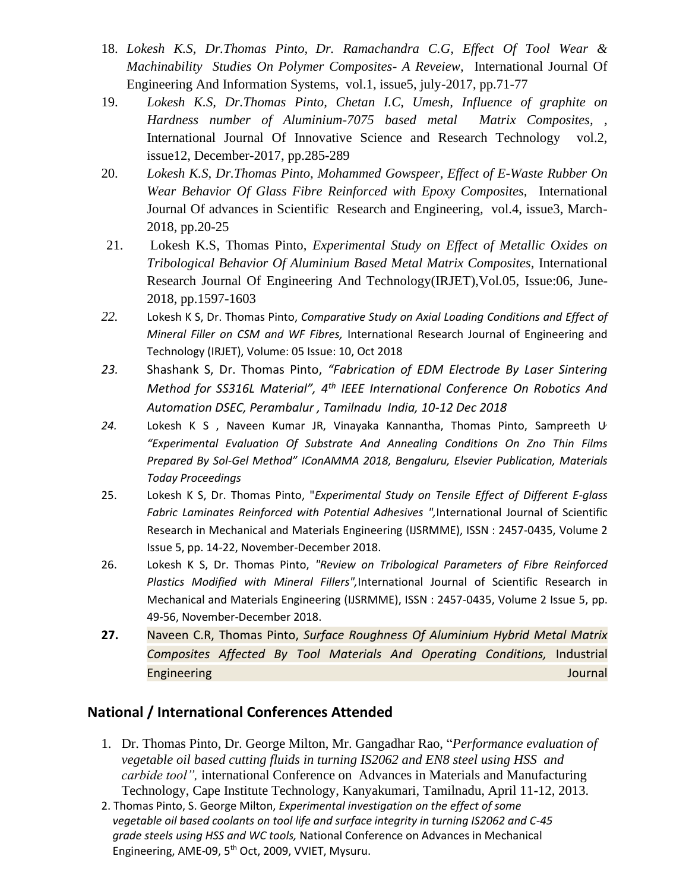- 18. *Lokesh K.S, Dr.Thomas Pinto, Dr. Ramachandra C.G, Effect Of Tool Wear & Machinability Studies On Polymer Composites- A Reveiew,* International Journal Of Engineering And Information Systems, vol.1, issue5, july-2017, pp.71-77
- 19. *Lokesh K.S, Dr.Thomas Pinto, Chetan I.C, Umesh, Influence of graphite on Hardness number of Aluminium-7075 based metal Matrix Composites, ,*  International Journal Of Innovative Science and Research Technology vol.2, issue12, December-2017, pp.285-289
- 20. *Lokesh K.S, Dr.Thomas Pinto, Mohammed Gowspeer, Effect of E-Waste Rubber On Wear Behavior Of Glass Fibre Reinforced with Epoxy Composites,* International Journal Of advances in Scientific Research and Engineering, vol.4, issue3, March-2018, pp.20-25
- 21. Lokesh K.S, Thomas Pinto, *Experimental Study on Effect of Metallic Oxides on Tribological Behavior Of Aluminium Based Metal Matrix Composites,* International Research Journal Of Engineering And Technology(IRJET),Vol.05, Issue:06, June-2018, pp.1597-1603
- *22.* Lokesh K S, Dr. Thomas Pinto, *Comparative Study on Axial Loading Conditions and Effect of Mineral Filler on CSM and WF Fibres,* International Research Journal of Engineering and Technology (IRJET), Volume: 05 Issue: 10, Oct 2018
- *23.* Shashank S, Dr. Thomas Pinto, *"Fabrication of EDM Electrode By Laser Sintering Method for SS316L Material", 4th IEEE International Conference On Robotics And Automation DSEC, Perambalur , Tamilnadu India, 10-12 Dec 2018*
- *24.* Lokesh K S , Naveen Kumar JR, Vinayaka Kannantha, Thomas Pinto, Sampreeth U*, "Experimental Evaluation Of Substrate And Annealing Conditions On Zno Thin Films Prepared By Sol-Gel Method" IConAMMA 2018, Bengaluru, Elsevier Publication, Materials Today Proceedings*
- 25. Lokesh K S, Dr. Thomas Pinto, "*Experimental Study on Tensile Effect of Different E-glass Fabric Laminates Reinforced with Potential Adhesives ",*International Journal of Scientific Research in Mechanical and Materials Engineering (IJSRMME), ISSN : 2457-0435, Volume 2 Issue 5, pp. 14-22, November-December 2018.
- 26. Lokesh K S, Dr. Thomas Pinto, *"Review on Tribological Parameters of Fibre Reinforced Plastics Modified with Mineral Fillers",*International Journal of Scientific Research in Mechanical and Materials Engineering (IJSRMME), ISSN : 2457-0435, Volume 2 Issue 5, pp. 49-56, November-December 2018.
- **27.** Naveen C.R, Thomas Pinto, *Surface Roughness Of Aluminium Hybrid Metal Matrix Composites Affected By Tool Materials And Operating Conditions,* Industrial Engineering Journal and The Communication of the Communication of the Communication of the Communication of the Communication of the Communication of the Communication of the Communication of the Communication of the Commu

# **National / International Conferences Attended**

- 1. Dr. Thomas Pinto, Dr. George Milton, Mr. Gangadhar Rao, "*Performance evaluation of vegetable oil based cutting fluids in turning IS2062 and EN8 steel using HSS and carbide tool",* international Conference on Advances in Materials and Manufacturing Technology, Cape Institute Technology, Kanyakumari, Tamilnadu, April 11-12, 2013.
- 2. Thomas Pinto, S. George Milton, *Experimental investigation on the effect of some vegetable oil based coolants on tool life and surface integrity in turning IS2062 and C-45 grade steels using HSS and WC tools,* National Conference on Advances in Mechanical Engineering, AME-09, 5<sup>th</sup> Oct, 2009, VVIET, Mysuru.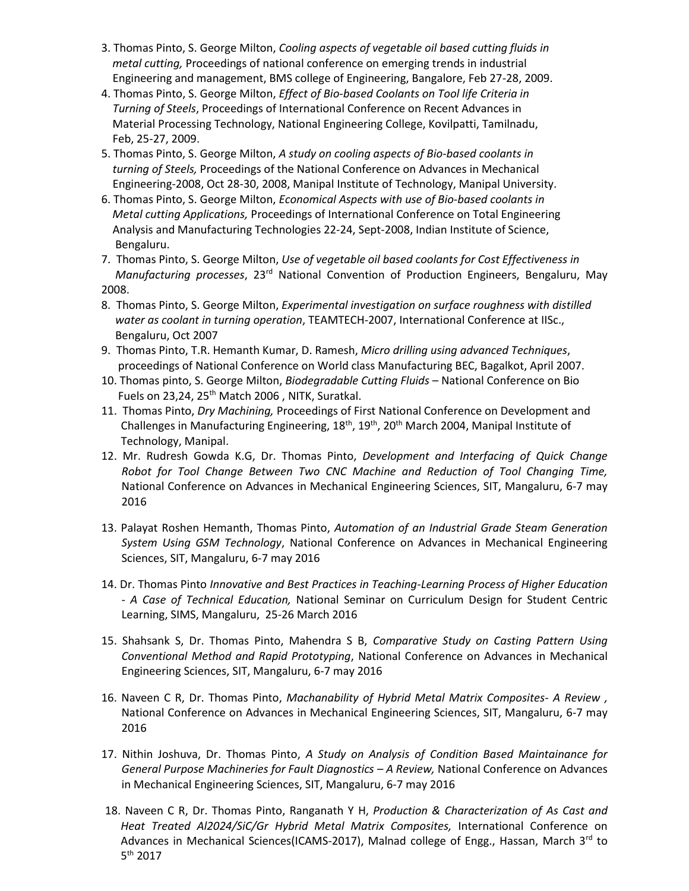- 3. Thomas Pinto, S. George Milton, *Cooling aspects of vegetable oil based cutting fluids in metal cutting,* Proceedings of national conference on emerging trends in industrial Engineering and management, BMS college of Engineering, Bangalore, Feb 27-28, 2009.
- 4. Thomas Pinto, S. George Milton, *Effect of Bio-based Coolants on Tool life Criteria in Turning of Steels*, Proceedings of International Conference on Recent Advances in Material Processing Technology, National Engineering College, Kovilpatti, Tamilnadu, Feb, 25-27, 2009.
- 5. Thomas Pinto, S. George Milton, *A study on cooling aspects of Bio-based coolants in turning of Steels,* Proceedings of the National Conference on Advances in Mechanical Engineering-2008, Oct 28-30, 2008, Manipal Institute of Technology, Manipal University.
- 6. Thomas Pinto, S. George Milton, *Economical Aspects with use of Bio-based coolants in Metal cutting Applications,* Proceedings of International Conference on Total Engineering Analysis and Manufacturing Technologies 22-24, Sept-2008, Indian Institute of Science, Bengaluru.
- 7. Thomas Pinto, S. George Milton, *Use of vegetable oil based coolants for Cost Effectiveness in Manufacturing processes*, 23rd National Convention of Production Engineers, Bengaluru, May 2008.
- 8. Thomas Pinto, S. George Milton, *Experimental investigation on surface roughness with distilled water as coolant in turning operation*, TEAMTECH-2007, International Conference at IISc., Bengaluru, Oct 2007
- 9. Thomas Pinto, T.R. Hemanth Kumar, D. Ramesh, *Micro drilling using advanced Techniques*, proceedings of National Conference on World class Manufacturing BEC, Bagalkot, April 2007.
- 10. Thomas pinto, S. George Milton, *Biodegradable Cutting Fluids* National Conference on Bio Fuels on 23,24, 25<sup>th</sup> Match 2006, NITK, Suratkal.
- 11. Thomas Pinto, *Dry Machining,* Proceedings of First National Conference on Development and Challenges in Manufacturing Engineering,  $18^{th}$ ,  $19^{th}$ ,  $20^{th}$  March 2004, Manipal Institute of Technology, Manipal.
- 12. Mr. Rudresh Gowda K.G, Dr. Thomas Pinto, *Development and Interfacing of Quick Change Robot for Tool Change Between Two CNC Machine and Reduction of Tool Changing Time,* National Conference on Advances in Mechanical Engineering Sciences, SIT, Mangaluru, 6-7 may 2016
- 13. Palayat Roshen Hemanth, Thomas Pinto, *Automation of an Industrial Grade Steam Generation System Using GSM Technology*, National Conference on Advances in Mechanical Engineering Sciences, SIT, Mangaluru, 6-7 may 2016
- 14. Dr. Thomas Pinto *Innovative and Best Practices in Teaching-Learning Process of Higher Education - A Case of Technical Education,* National Seminar on Curriculum Design for Student Centric Learning, SIMS, Mangaluru, 25-26 March 2016
- 15. Shahsank S, Dr. Thomas Pinto, Mahendra S B, *Comparative Study on Casting Pattern Using Conventional Method and Rapid Prototyping*, National Conference on Advances in Mechanical Engineering Sciences, SIT, Mangaluru, 6-7 may 2016
- 16. Naveen C R, Dr. Thomas Pinto, *Machanability of Hybrid Metal Matrix Composites- A Review ,* National Conference on Advances in Mechanical Engineering Sciences, SIT, Mangaluru, 6-7 may 2016
- 17. Nithin Joshuva, Dr. Thomas Pinto, *A Study on Analysis of Condition Based Maintainance for General Purpose Machineries for Fault Diagnostics – A Review,* National Conference on Advances in Mechanical Engineering Sciences, SIT, Mangaluru, 6-7 may 2016
- 18. Naveen C R, Dr. Thomas Pinto, Ranganath Y H, *Production & Characterization of As Cast and Heat Treated Al2024/SiC/Gr Hybrid Metal Matrix Composites,* International Conference on Advances in Mechanical Sciences(ICAMS-2017), Malnad college of Engg., Hassan, March 3rd to 5 th 2017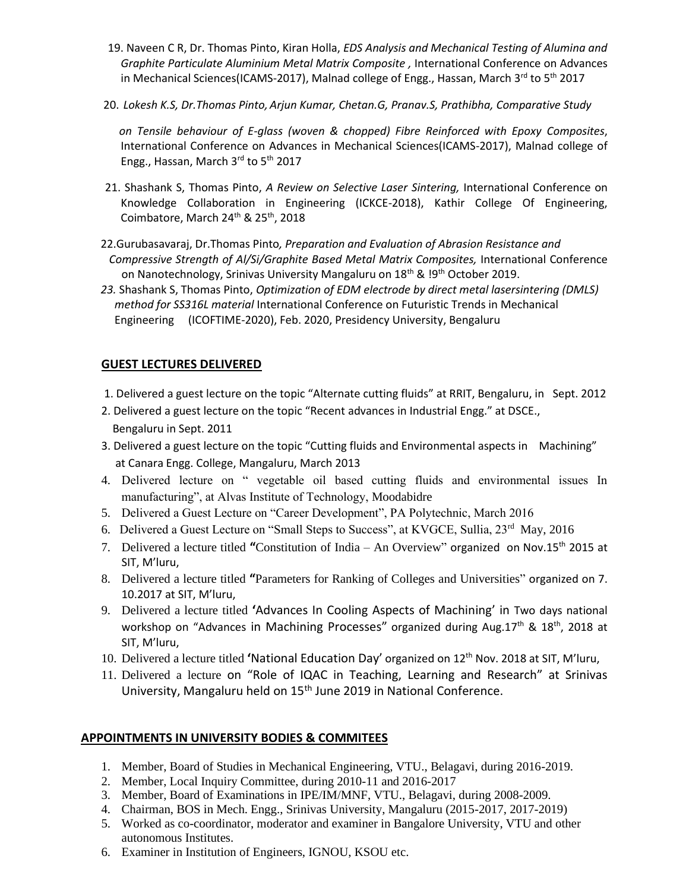- 19. Naveen C R, Dr. Thomas Pinto, Kiran Holla, *EDS Analysis and Mechanical Testing of Alumina and Graphite Particulate Aluminium Metal Matrix Composite ,* International Conference on Advances in Mechanical Sciences(ICAMS-2017), Malnad college of Engg., Hassan, March  $3^{rd}$  to  $5^{th}$  2017
- 20. *Lokesh K.S, Dr.Thomas Pinto, Arjun Kumar, Chetan.G, Pranav.S, Prathibha, Comparative Study*

 *on Tensile behaviour of E-glass (woven & chopped) Fibre Reinforced with Epoxy Composites*, International Conference on Advances in Mechanical Sciences(ICAMS-2017), Malnad college of Engg., Hassan, March 3rd to 5<sup>th</sup> 2017

- 21. Shashank S, Thomas Pinto, *A Review on Selective Laser Sintering,* International Conference on Knowledge Collaboration in Engineering (ICKCE-2018), Kathir College Of Engineering, Coimbatore, March 24<sup>th</sup> & 25<sup>th</sup>, 2018
- 22.Gurubasavaraj, Dr.Thomas Pinto*, Preparation and Evaluation of Abrasion Resistance and*  Compressive Strength of Al/Si/Graphite Based Metal Matrix Composites, International Conference on Nanotechnology, Srinivas University Mangaluru on 18<sup>th</sup> & <sup>19th</sup> October 2019.
- *23.* Shashank S, Thomas Pinto, *Optimization of EDM electrode by direct metal lasersintering (DMLS) method for SS316L material* International Conference on Futuristic Trends in Mechanical Engineering (ICOFTIME-2020), Feb. 2020, Presidency University, Bengaluru

### **GUEST LECTURES DELIVERED**

- 1. Delivered a guest lecture on the topic "Alternate cutting fluids" at RRIT, Bengaluru, in Sept. 2012
- 2. Delivered a guest lecture on the topic "Recent advances in Industrial Engg." at DSCE., Bengaluru in Sept. 2011
- 3. Delivered a guest lecture on the topic "Cutting fluids and Environmental aspects in Machining" at Canara Engg. College, Mangaluru, March 2013
- 4. Delivered lecture on " vegetable oil based cutting fluids and environmental issues In manufacturing", at Alvas Institute of Technology, Moodabidre
- 5. Delivered a Guest Lecture on "Career Development", PA Polytechnic, March 2016
- 6. Delivered a Guest Lecture on "Small Steps to Success", at KVGCE, Sullia, 23<sup>rd</sup> May, 2016
- 7. Delivered a lecture titled **"**Constitution of India An Overview" organized on Nov.15th 2015 at SIT, M'luru,
- 8. Delivered a lecture titled **"**Parameters for Ranking of Colleges and Universities" organized on 7. 10.2017 at SIT, M'luru,
- 9. Delivered a lecture titled **'**Advances In Cooling Aspects of Machining' in Two days national workshop on "Advances in Machining Processes" organized during Aug.17<sup>th</sup> & 18<sup>th</sup>, 2018 at SIT, M'luru,
- 10. Delivered a lecture titled **'**National Education Day' organized on 12th Nov. 2018 at SIT, M'luru,
- 11. Delivered a lecture on "Role of IQAC in Teaching, Learning and Research" at Srinivas University, Mangaluru held on 15<sup>th</sup> June 2019 in National Conference.

#### **APPOINTMENTS IN UNIVERSITY BODIES & COMMITEES**

- 1. Member, Board of Studies in Mechanical Engineering, VTU., Belagavi, during 2016-2019.
- 2. Member, Local Inquiry Committee, during 2010-11 and 2016-2017
- 3. Member, Board of Examinations in IPE/IM/MNF, VTU., Belagavi, during 2008-2009.
- 4. Chairman, BOS in Mech. Engg., Srinivas University, Mangaluru (2015-2017, 2017-2019)
- 5. Worked as co-coordinator, moderator and examiner in Bangalore University, VTU and other autonomous Institutes.
- 6. Examiner in Institution of Engineers, IGNOU, KSOU etc.